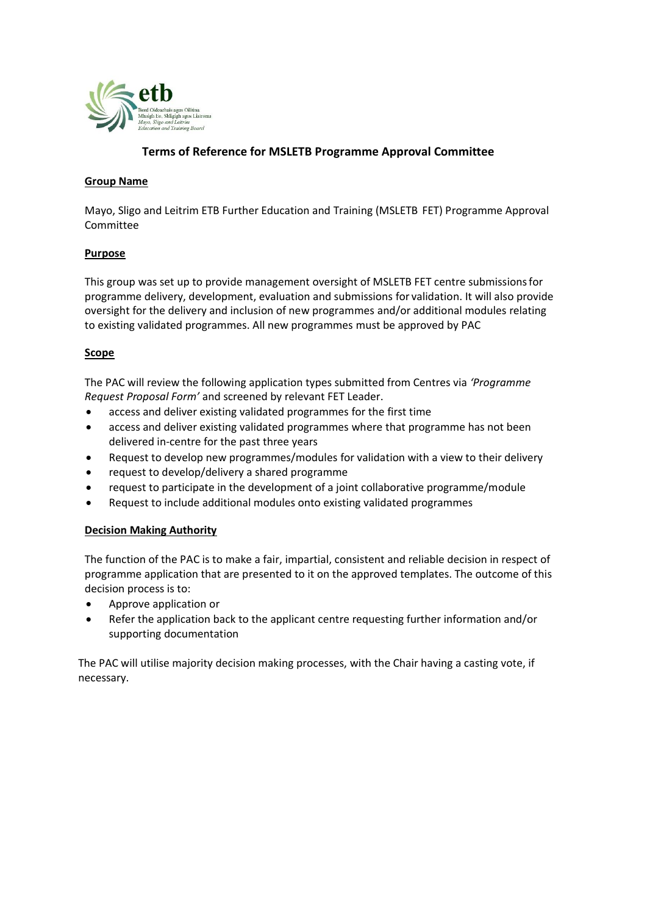

# **Terms of Reference for MSLETB Programme Approval Committee**

### **Group Name**

Mayo, Sligo and Leitrim ETB Further Education and Training (MSLETB FET) Programme Approval Committee

#### **Purpose**

This group was set up to provide management oversight of MSLETB FET centre submissionsfor programme delivery, development, evaluation and submissions for validation. It will also provide oversight for the delivery and inclusion of new programmes and/or additional modules relating to existing validated programmes. All new programmes must be approved by PAC

### **Scope**

The PAC will review the following application types submitted from Centres via *'Programme Request Proposal Form'* and screened by relevant FET Leader.

- access and deliver existing validated programmes for the first time
- access and deliver existing validated programmes where that programme has not been delivered in-centre for the past three years
- Request to develop new programmes/modules for validation with a view to their delivery
- request to develop/delivery a shared programme
- request to participate in the development of a joint collaborative programme/module
- Request to include additional modules onto existing validated programmes

### **Decision Making Authority**

The function of the PAC is to make a fair, impartial, consistent and reliable decision in respect of programme application that are presented to it on the approved templates. The outcome of this decision process is to:

- Approve application or
- Refer the application back to the applicant centre requesting further information and/or supporting documentation

The PAC will utilise majority decision making processes, with the Chair having a casting vote, if necessary.